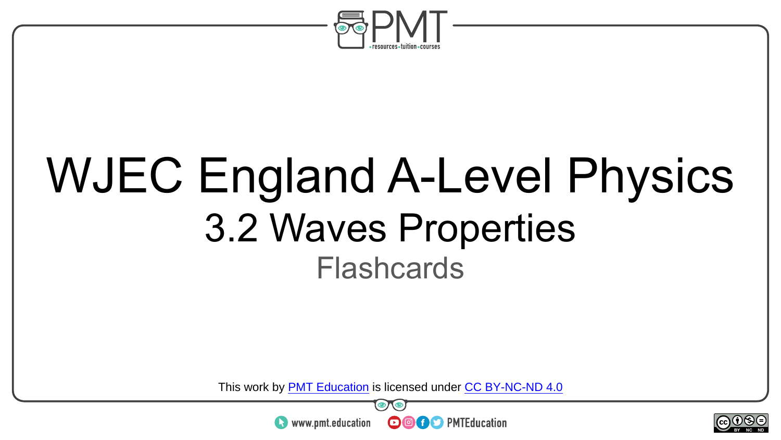

## WJEC England A-Level Physics 3.2 Waves Properties **Flashcards**

This work by <u>PMT Education</u> is licensed under CC BY-NC-ND 4.0<br>
www.pmt.education **in the CO CO** PMTEducation



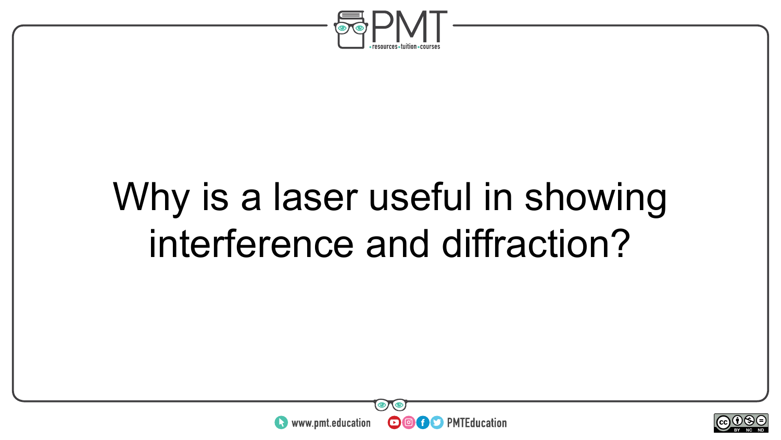

#### Why is a laser useful in showing interference and diffraction?



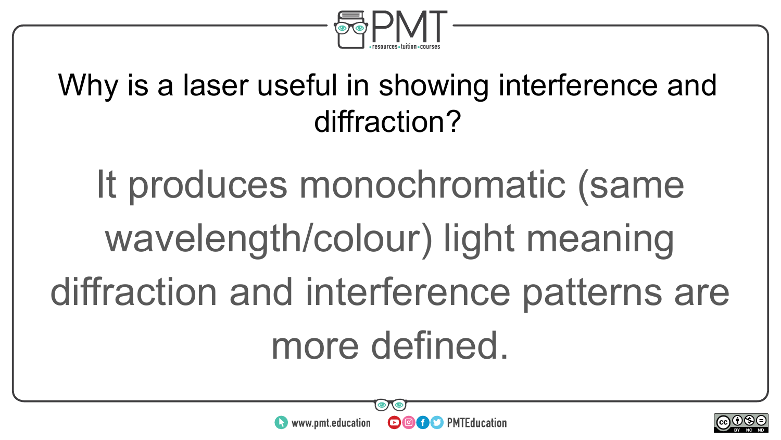

#### Why is a laser useful in showing interference and diffraction?

It produces monochromatic (same wavelength/colour) light meaning diffraction and interference patterns are more defined.



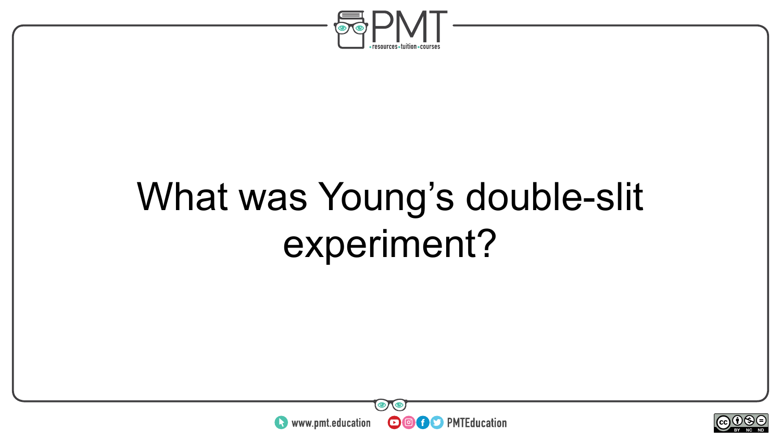

## What was Young's double-slit experiment?



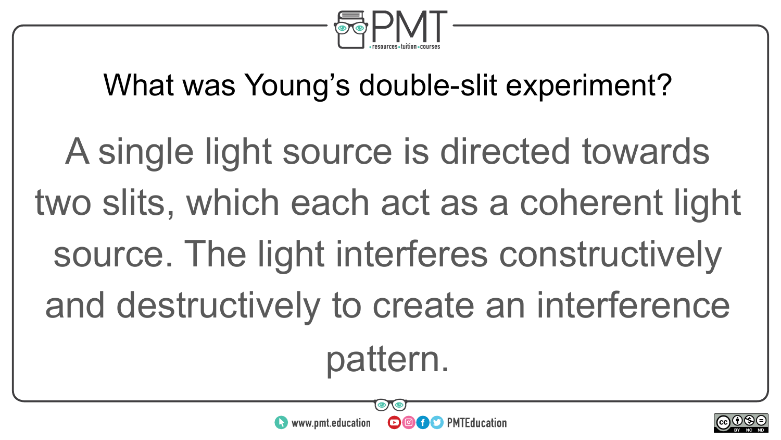

#### What was Young's double-slit experiment?

A single light source is directed towards two slits, which each act as a coherent light source. The light interferes constructively and destructively to create an interference pattern.

**OOOO** PMTEducation

www.pmt.education

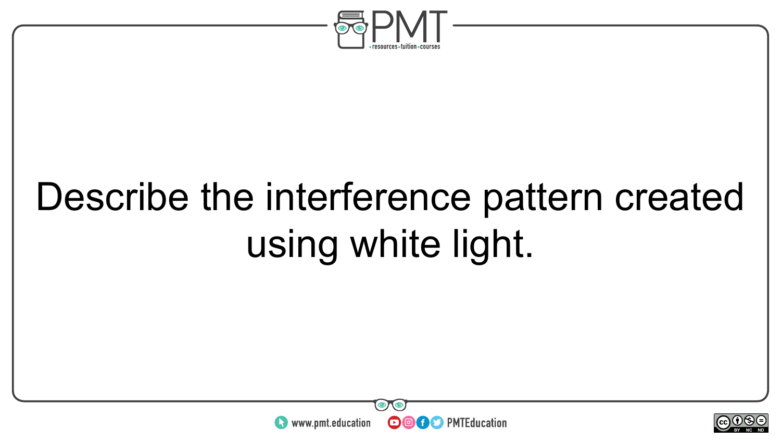

## Describe the interference pattern created using white light.



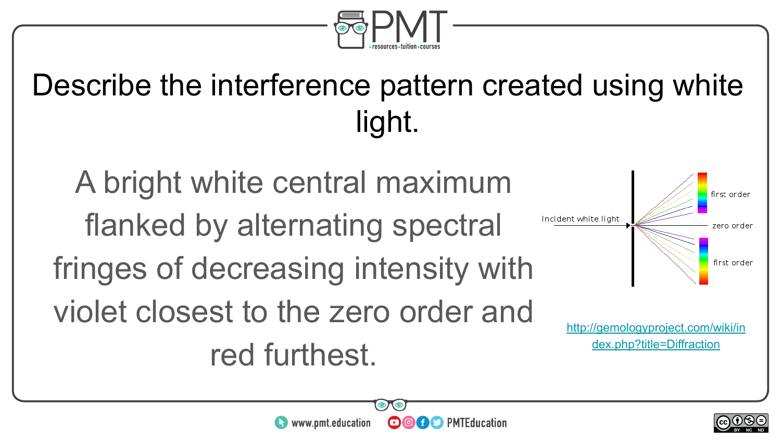

#### Describe the interference pattern created using white light.

A bright white central maximum flanked by alternating spectral fringes of decreasing intensity with violet closest to the zero order and red furthest.



[http://gemologyproject.com/wiki/in](http://gemologyproject.com/wiki/index.php?title=Diffraction) [dex.php?title=Diffraction](http://gemologyproject.com/wiki/index.php?title=Diffraction)

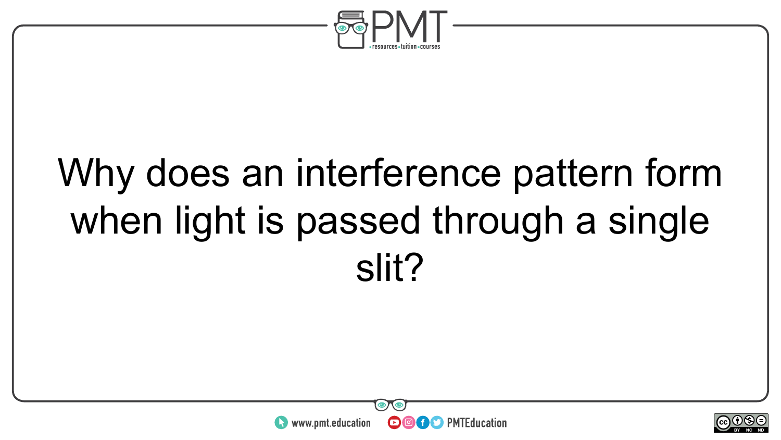

## Why does an interference pattern form when light is passed through a single slit?



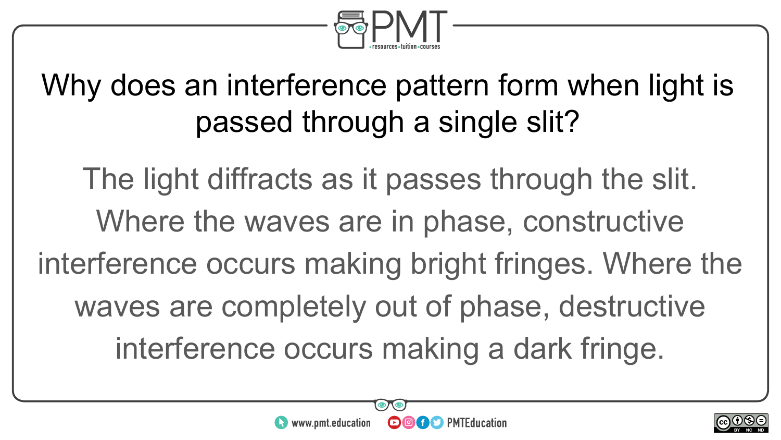

#### Why does an interference pattern form when light is passed through a single slit?

The light diffracts as it passes through the slit. Where the waves are in phase, constructive interference occurs making bright fringes. Where the waves are completely out of phase, destructive interference occurs making a dark fringe.



**OCO** PMTEducation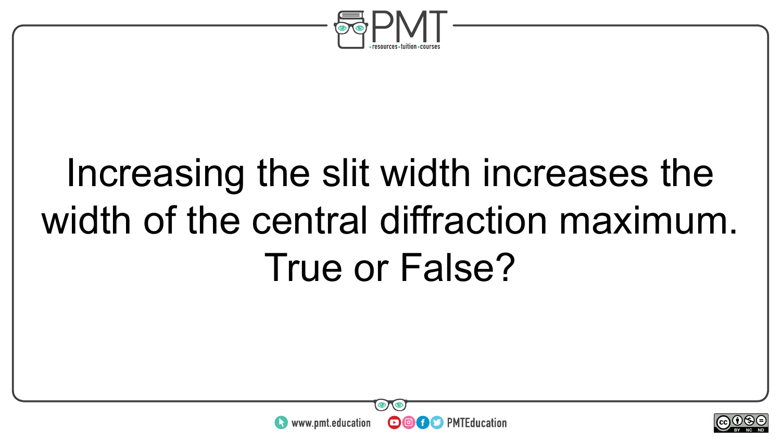

## Increasing the slit width increases the width of the central diffraction maximum. True or False?



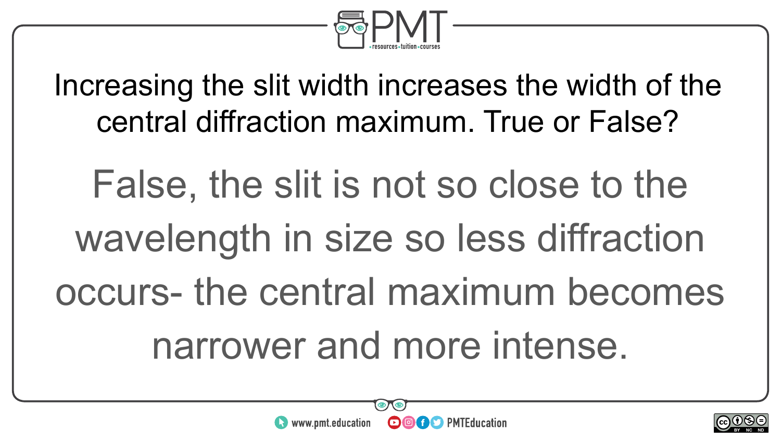

Increasing the slit width increases the width of the central diffraction maximum. True or False?

False, the slit is not so close to the wavelength in size so less diffraction occurs- the central maximum becomes narrower and more intense.



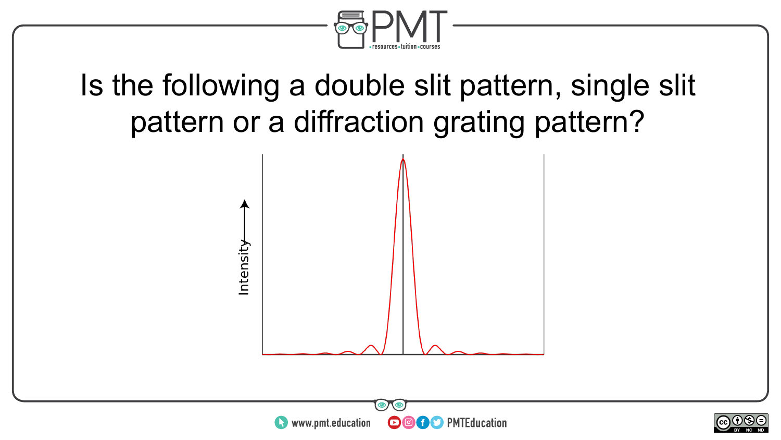

#### Is the following a double slit pattern, single slit pattern or a diffraction grating pattern?



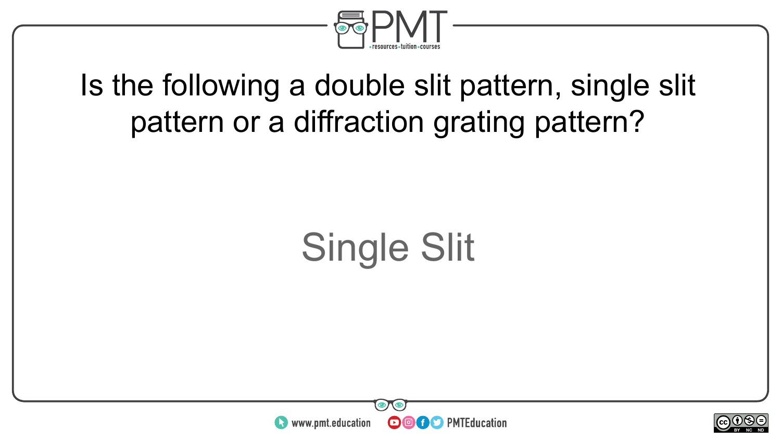

#### Is the following a double slit pattern, single slit pattern or a diffraction grating pattern?

## Single Slit



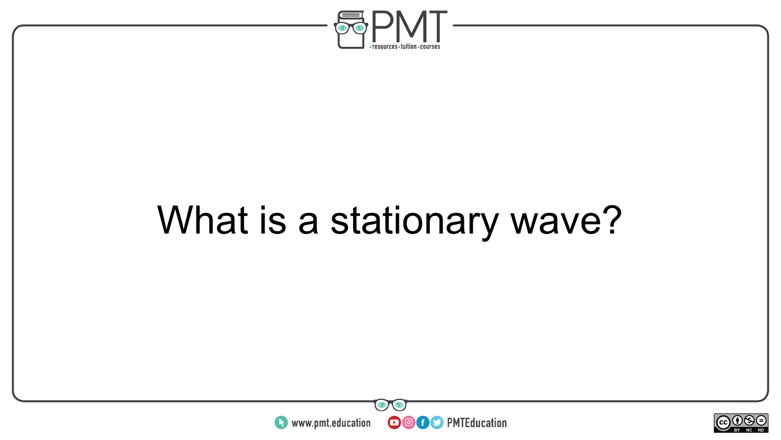

## What is a stationary wave?



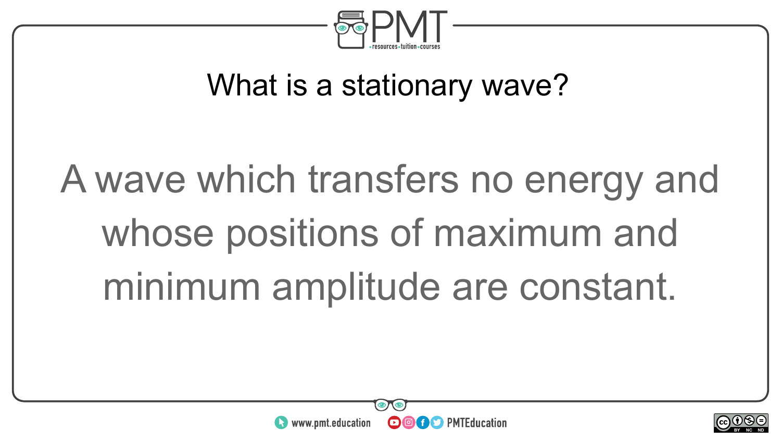

#### What is a stationary wave?

# A wave which transfers no energy and whose positions of maximum and minimum amplitude are constant.

**OOOO** PMTEducation



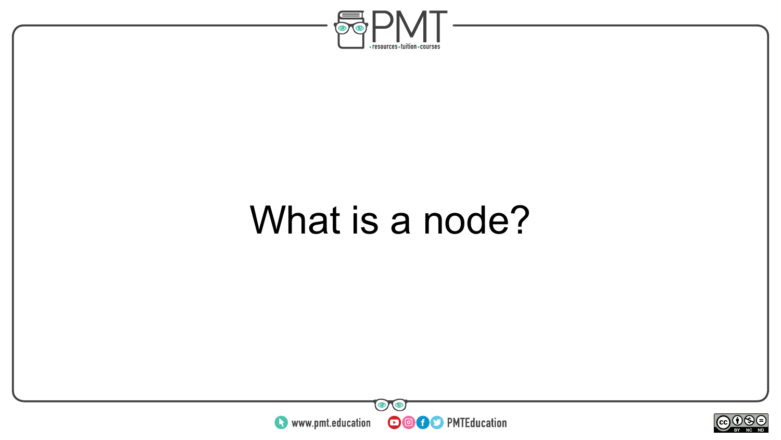

#### What is a node?



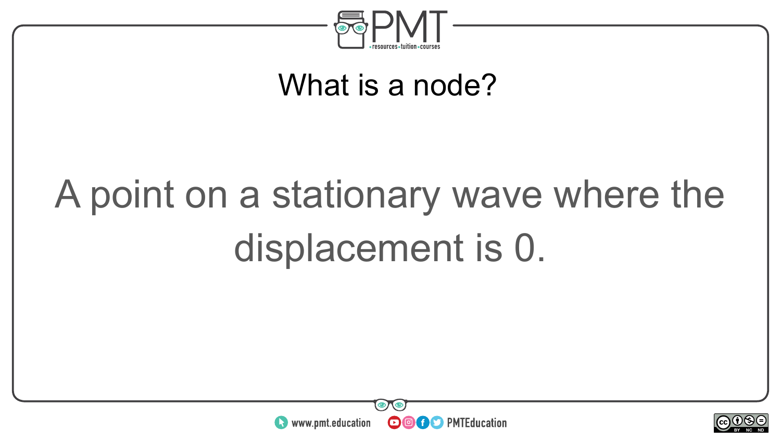

#### What is a node?

# A point on a stationary wave where the displacement is 0.



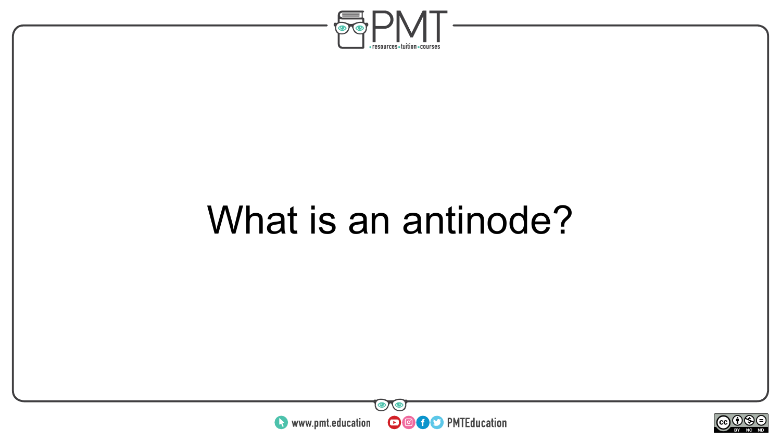

#### What is an antinode?



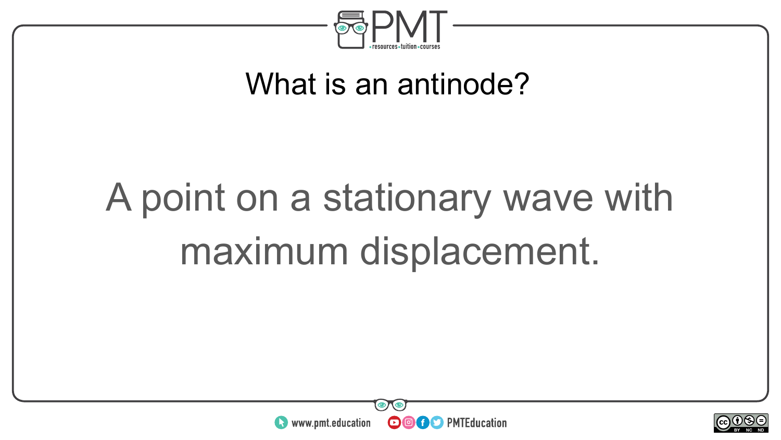

#### What is an antinode?

# A point on a stationary wave with maximum displacement.



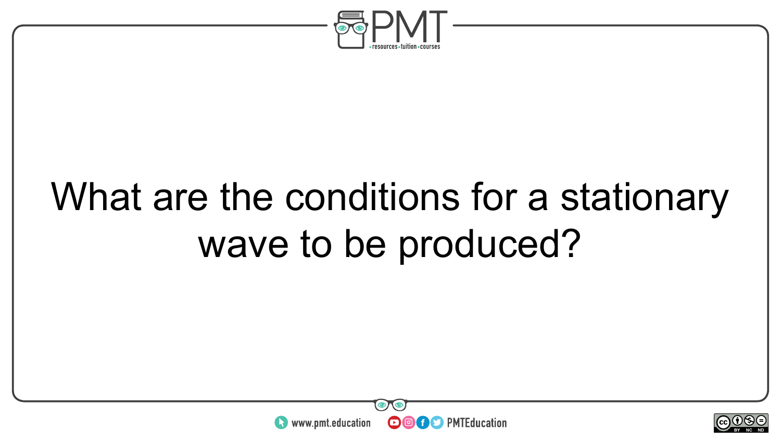

## What are the conditions for a stationary wave to be produced?



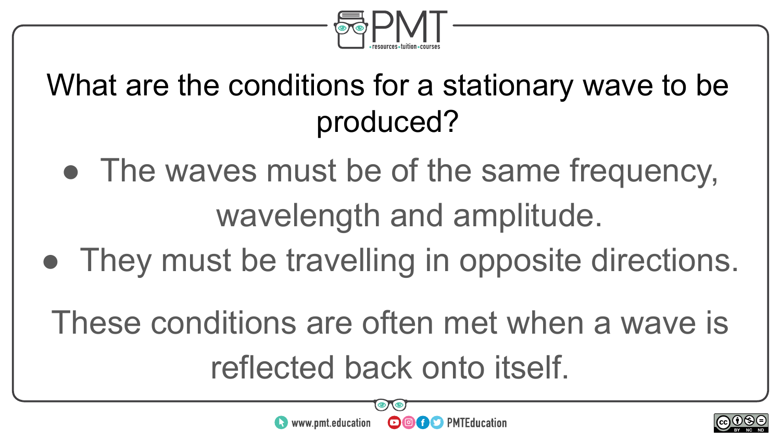

#### What are the conditions for a stationary wave to be produced?

- The waves must be of the same frequency, wavelength and amplitude.
- They must be travelling in opposite directions.
	- These conditions are often met when a wave is reflected back onto itself.



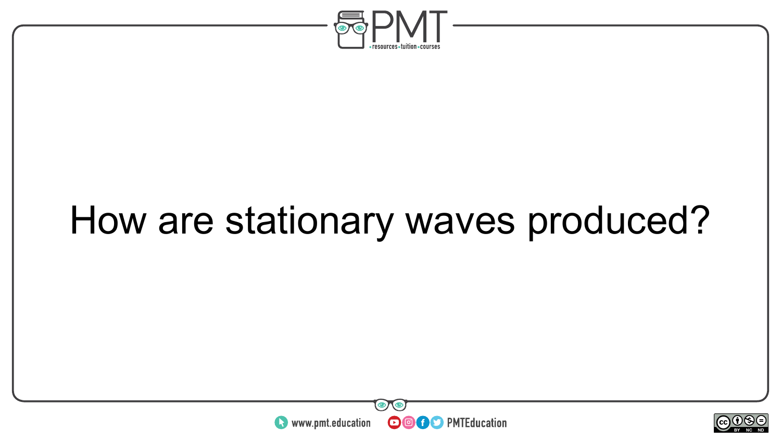

## How are stationary waves produced?



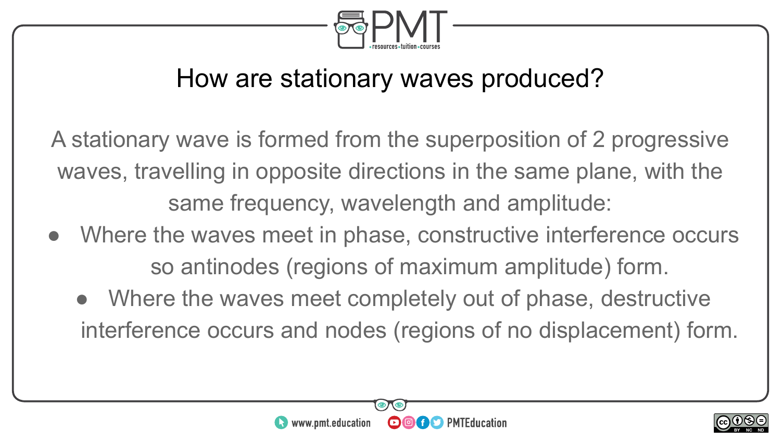

#### How are stationary waves produced?

A stationary wave is formed from the superposition of 2 progressive waves, travelling in opposite directions in the same plane, with the same frequency, wavelength and amplitude:

- Where the waves meet in phase, constructive interference occurs so antinodes (regions of maximum amplitude) form.
	- Where the waves meet completely out of phase, destructive interference occurs and nodes (regions of no displacement) form.



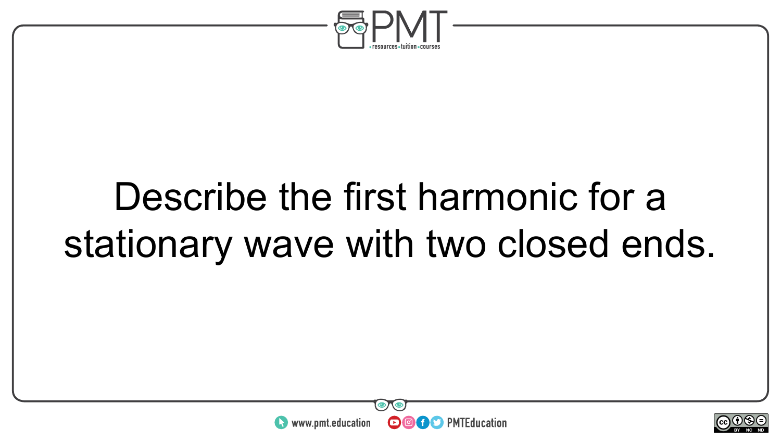

### Describe the first harmonic for a stationary wave with two closed ends.



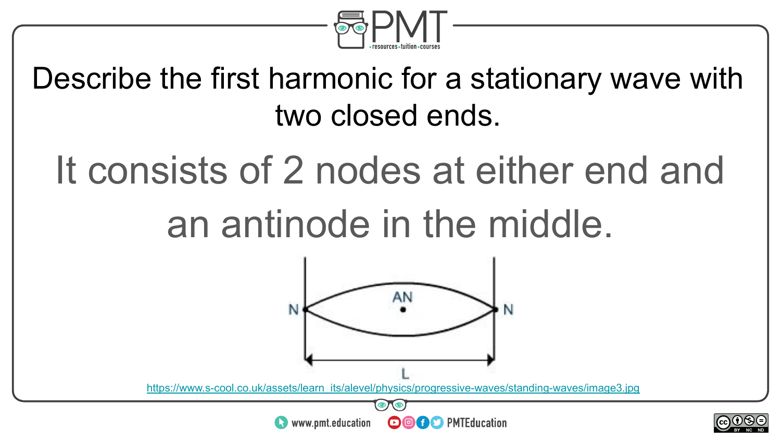

Describe the first harmonic for a stationary wave with two closed ends.

# It consists of 2 nodes at either end and

#### an antinode in the middle.



[https://www.s-cool.co.uk/assets/learn\\_its/alevel/physics/progressive-waves/standing-waves/image3.jpg](https://www.s-cool.co.uk/assets/learn_its/alevel/physics/progressive-waves/standing-waves/image3.jpg)



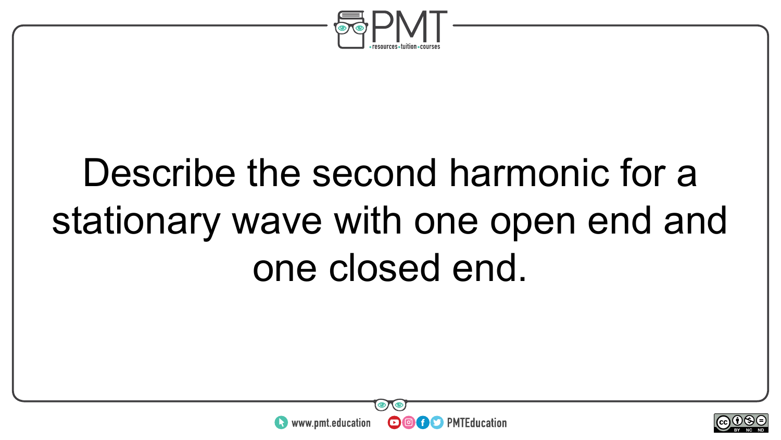

## Describe the second harmonic for a stationary wave with one open end and one closed end.



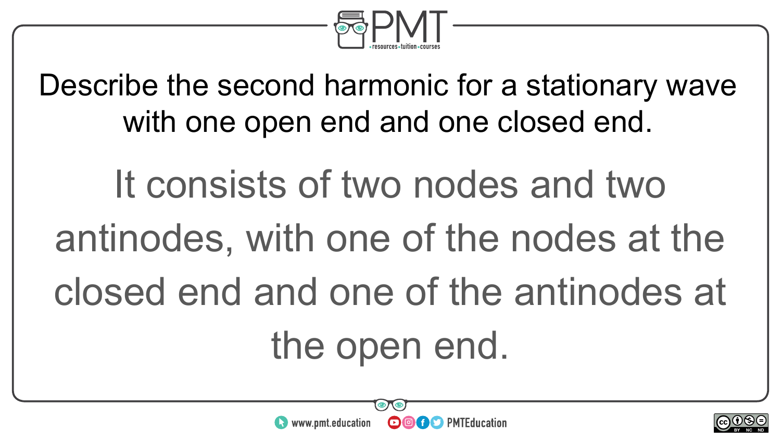

Describe the second harmonic for a stationary wave with one open end and one closed end.

It consists of two nodes and two antinodes, with one of the nodes at the closed end and one of the antinodes at the open end.



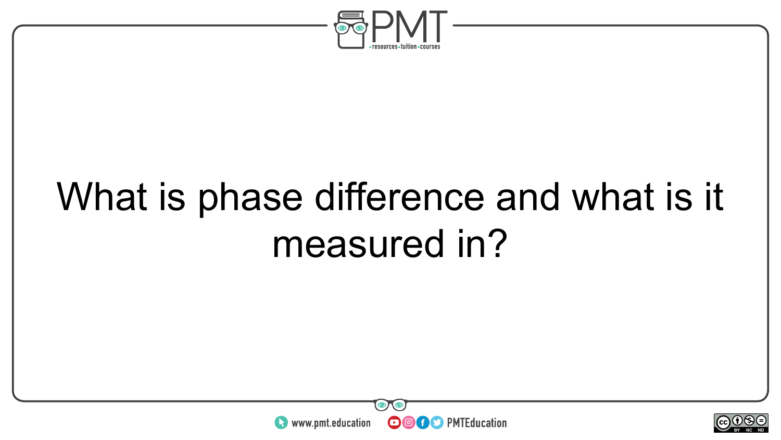

## What is phase difference and what is it measured in?



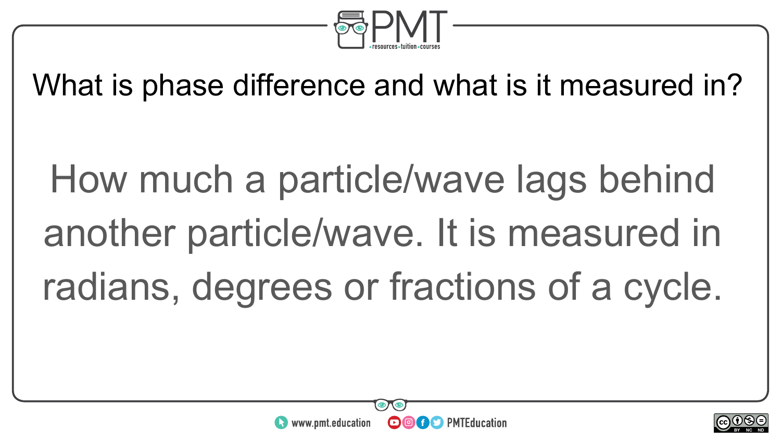

What is phase difference and what is it measured in?

How much a particle/wave lags behind another particle/wave. It is measured in radians, degrees or fractions of a cycle.



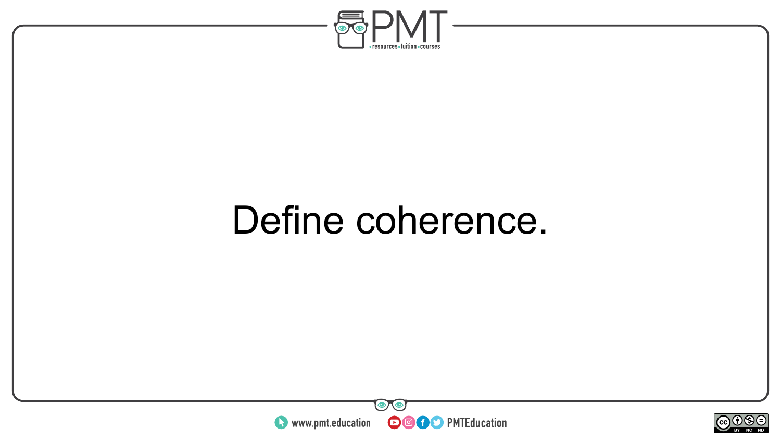

#### Define coherence.



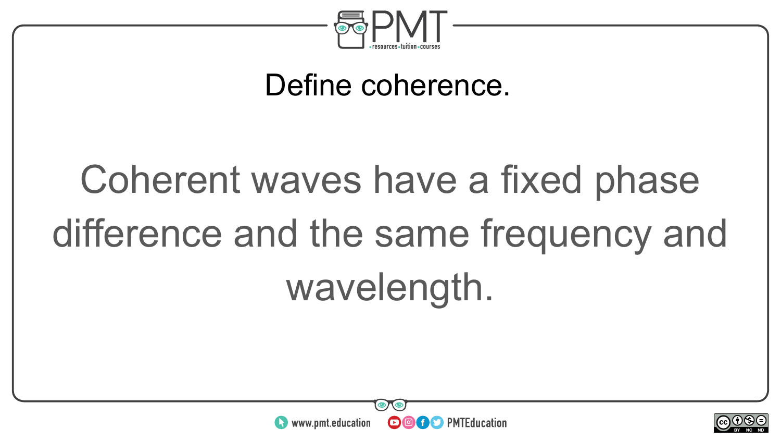

#### Define coherence.

# Coherent waves have a fixed phase difference and the same frequency and wavelength.



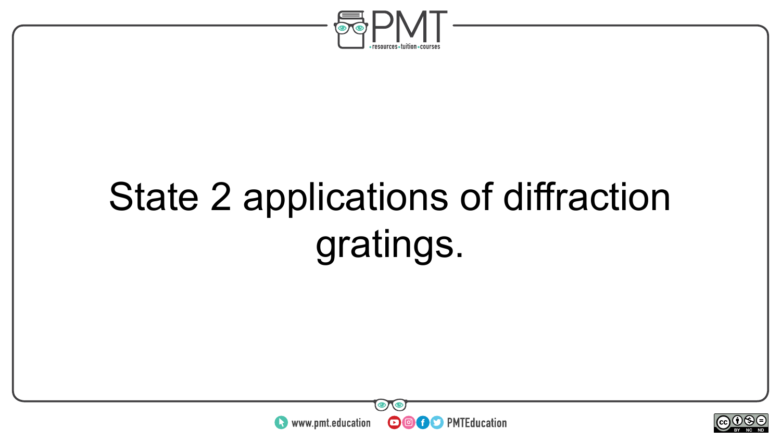

## State 2 applications of diffraction gratings.



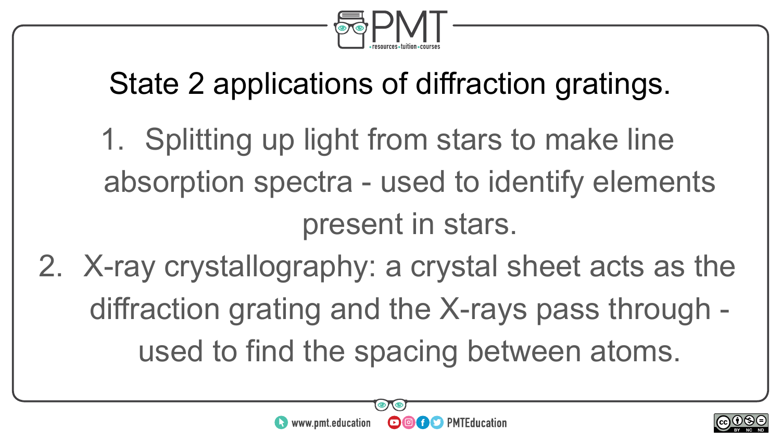

#### State 2 applications of diffraction gratings.

- 1. Splitting up light from stars to make line absorption spectra - used to identify elements present in stars.
- 2. X-ray crystallography: a crystal sheet acts as the diffraction grating and the X-rays pass through used to find the spacing between atoms.



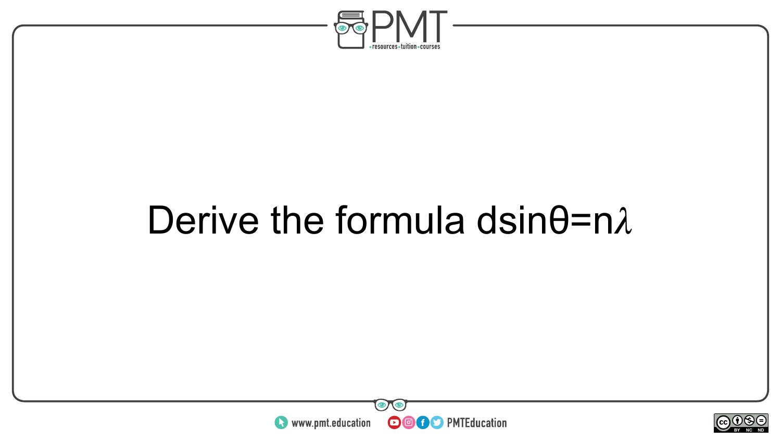

#### Derive the formula dsin $\theta$ =n $\lambda$



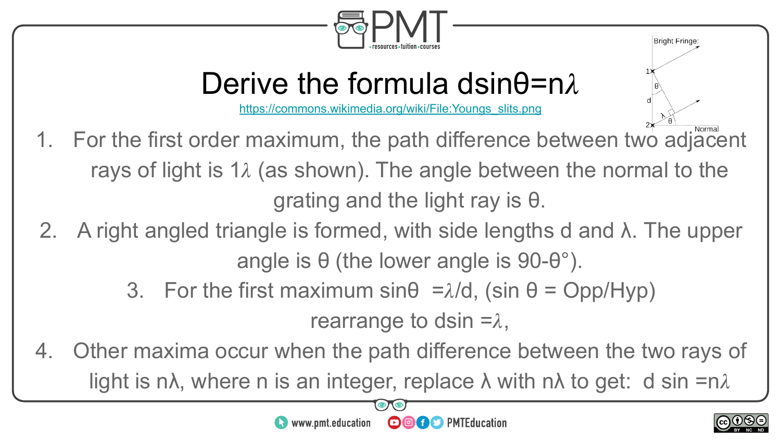

#### Derive the formula dsin $\theta$ =n $\lambda$

[https://commons.wikimedia.org/wiki/File:Youngs\\_slits.png](https://commons.wikimedia.org/wiki/File:Youngs_slits.png)

- 1. For the first order maximum, the path difference between two adjacent rays of light is 1 $\lambda$  (as shown). The angle between the normal to the grating and the light ray is θ.
- 2. A right angled triangle is formed, with side lengths d and  $\lambda$ . The upper angle is  $\theta$  (the lower angle is 90- $\theta$ °).
	- 3. For the first maximum sin $\theta = \lambda/d$ , (sin  $\theta = Opp/Hyp$ )

rearrange to dsin  $=\lambda$ ,

4. Other maxima occur when the path difference between the two rays of light is n $\lambda$ , where n is an integer, replace  $\lambda$  with n $\lambda$  to get: d sin =n $\lambda$ 



Bright Fringe: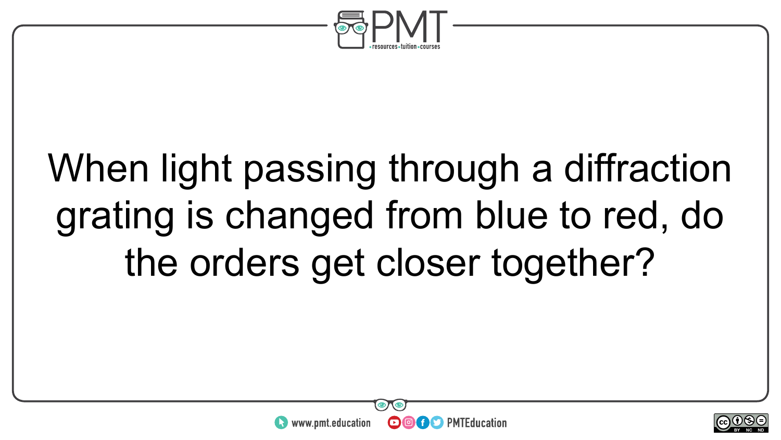

## When light passing through a diffraction grating is changed from blue to red, do the orders get closer together?



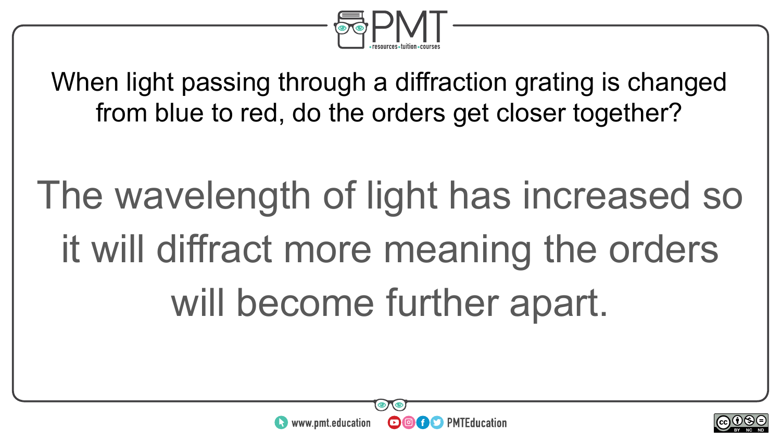

When light passing through a diffraction grating is changed from blue to red, do the orders get closer together?

The wavelength of light has increased so it will diffract more meaning the orders will become further apart.



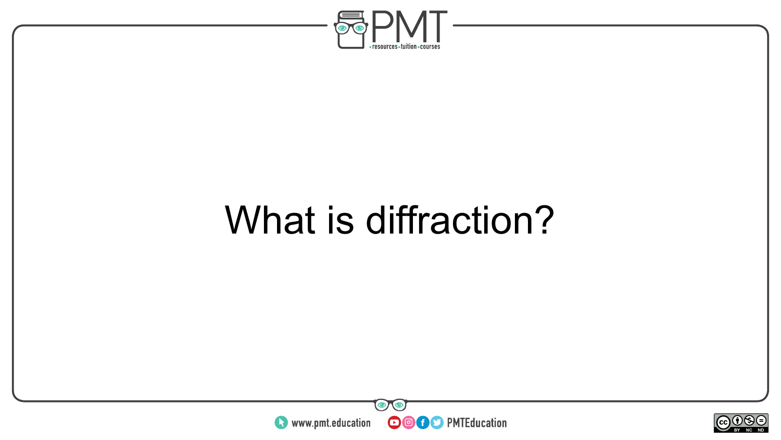

#### What is diffraction?



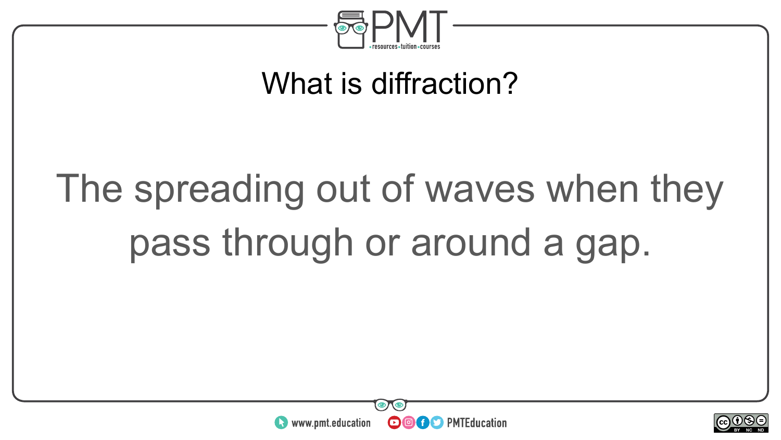

#### What is diffraction?

# The spreading out of waves when they pass through or around a gap.



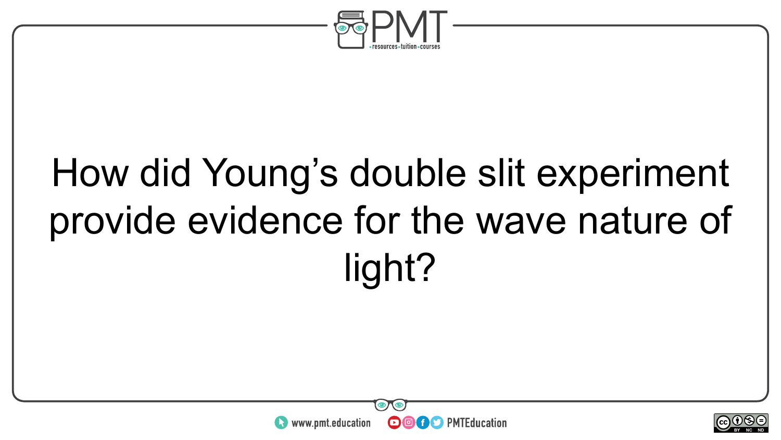

## How did Young's double slit experiment provide evidence for the wave nature of light?



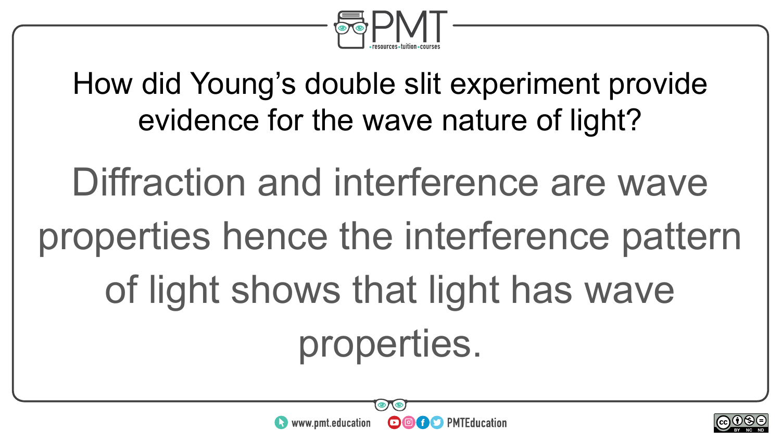

How did Young's double slit experiment provide evidence for the wave nature of light?

Diffraction and interference are wave properties hence the interference pattern of light shows that light has wave properties.

**OOOO** PMTEducation

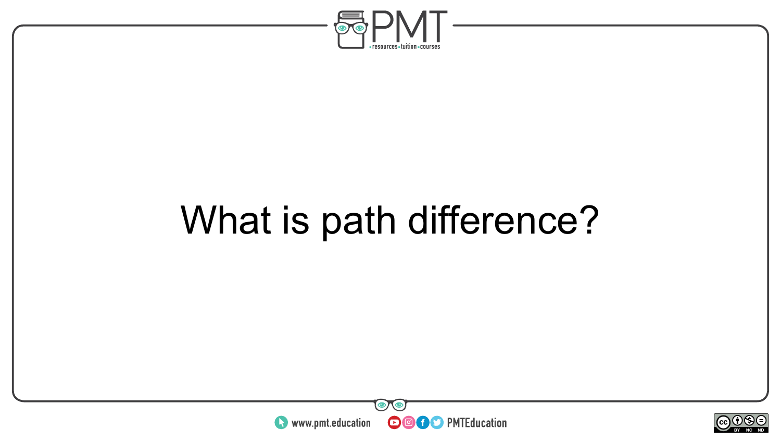

### What is path difference?



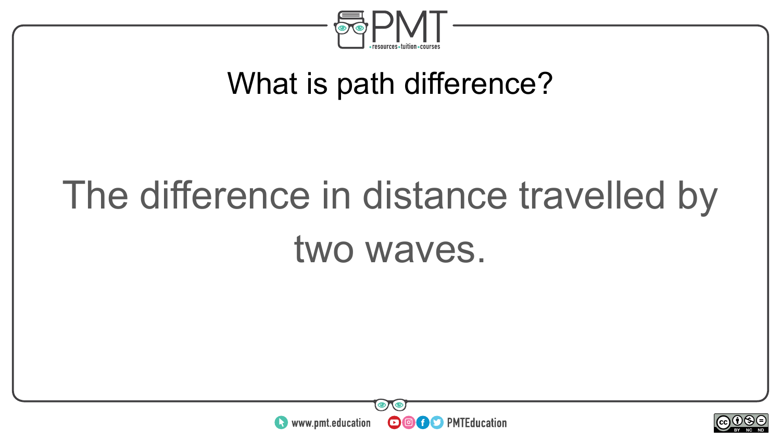

#### What is path difference?

# The difference in distance travelled by two waves.



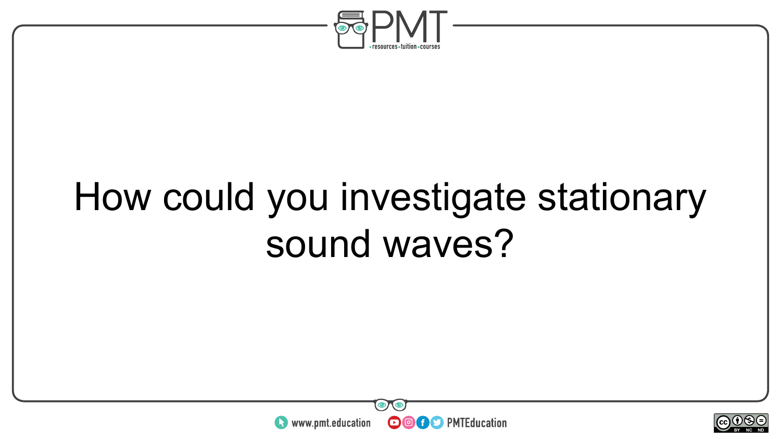

### How could you investigate stationary sound waves?



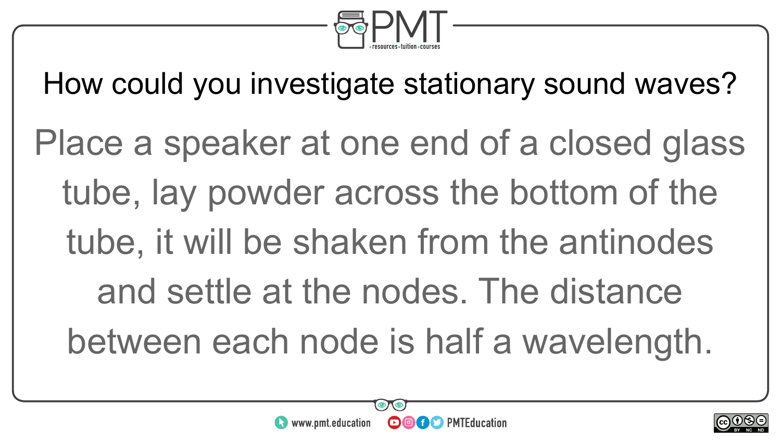

How could you investigate stationary sound waves?

Place a speaker at one end of a closed glass tube, lay powder across the bottom of the tube, it will be shaken from the antinodes and settle at the nodes. The distance between each node is half a wavelength.



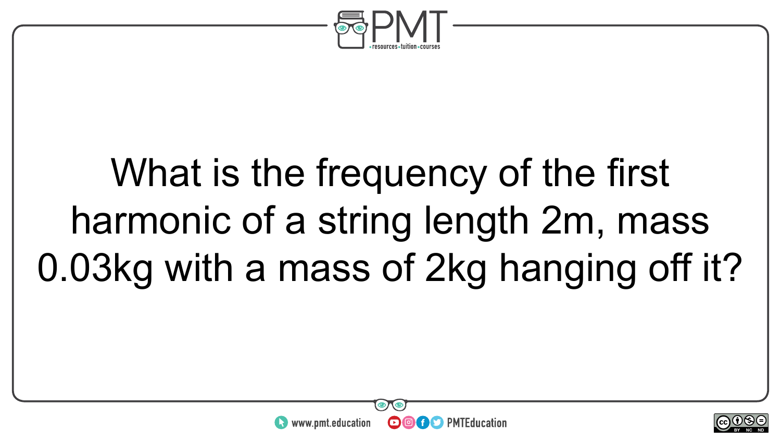

# What is the frequency of the first harmonic of a string length 2m, mass 0.03kg with a mass of 2kg hanging off it?



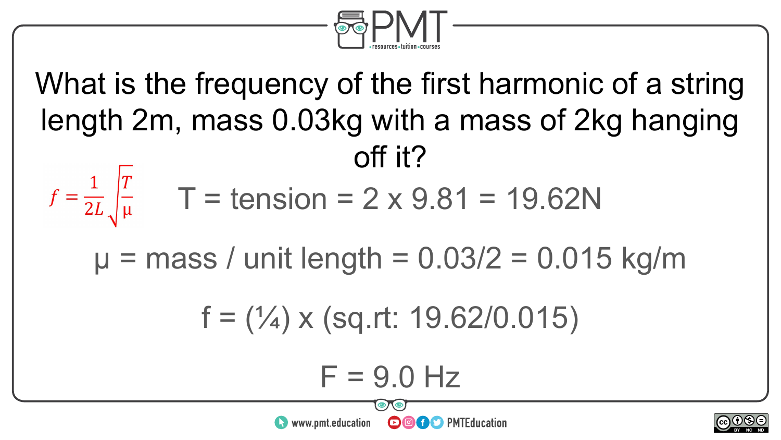

What is the frequency of the first harmonic of a string length 2m, mass 0.03kg with a mass of 2kg hanging off it?  $f = \frac{1}{2L} \int_{\mu}^{T}$  T = tension = 2 x 9.81 = 19.62N  $\mu$  = mass / unit length = 0.03/2 = 0.015 kg/m  $f = (1/4) \times (sq.rt: 19.62/0.015)$  $F = 9.0$  Hz  $\sim$ neel  $\bullet$  www.pmt.education **OOOO** PMTEducation BY NC ND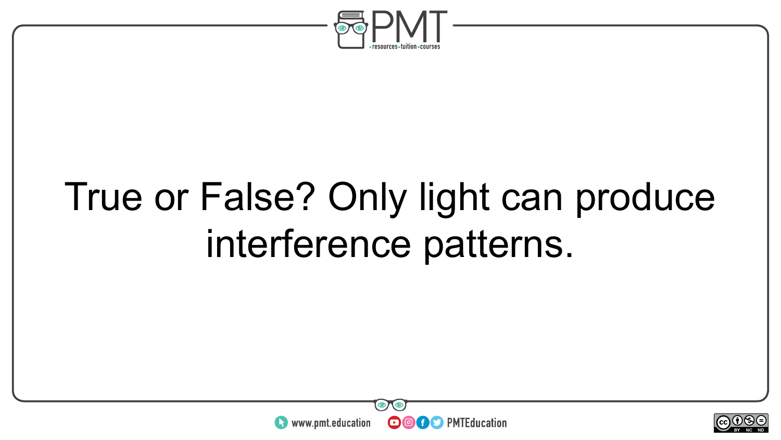

## True or False? Only light can produce interference patterns.



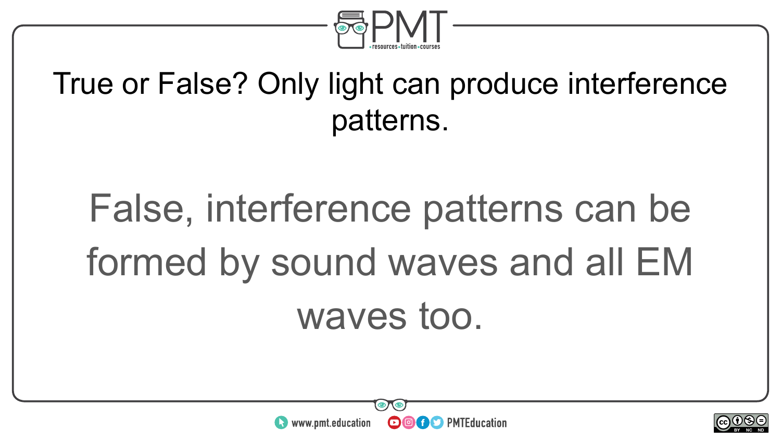

#### True or False? Only light can produce interference patterns.

# False, interference patterns can be formed by sound waves and all EM waves too.



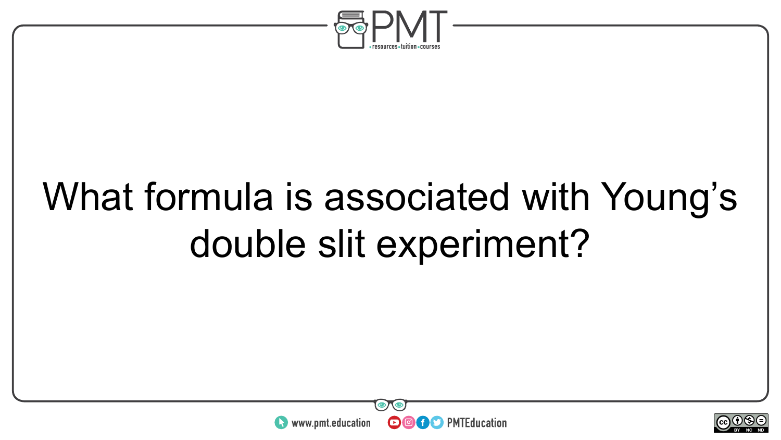

## What formula is associated with Young's double slit experiment?